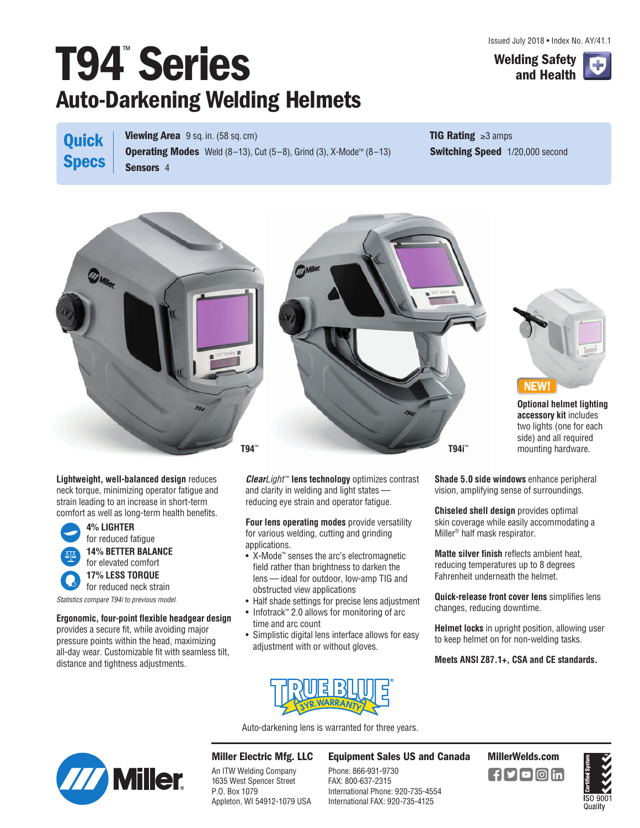Issued July 2018 • Index No. AY/41.1

## **T94**™ **Series Welding Safety Auto-Darkening Welding Helmets**



**Quick Specs** **Viewing Area** 9 sq. in. (58 sq. cm) **Operating Modes** Weld (8–13), Cut (5–8), Grind (3), X-Mode™ (8–13) **Sensors** 4

**TIG Rating** ≥3 amps **Switching Speed** 1/20,000 second







**Optional helmet lighting accessory kit** includes two lights (one for each side) and all required mounting hardware.

**Lightweight, well-balanced design** reduces neck torque, minimizing operator fatigue and strain leading to an increase in short-term comfort as well as long-term health benefits.



**Ergonomic, four-point flexible headgear design** provides a secure fit, while avoiding major

pressure points within the head, maximizing all-day wear. Customizable fit with seamless tilt, distance and tightness adjustments.

**Clear***Light*™ **lens technology** optimizes contrast and clarity in welding and light states reducing eye strain and operator fatigue.

**Four lens operating modes** provide versatility for various welding, cutting and grinding applications.

- X-Mode™ senses the arc's electromagnetic field rather than brightness to darken the lens — ideal for outdoor, low-amp TIG and obstructed view applications
- Half shade settings for precise lens adjustment
- Infotrack™ 2.0 allows for monitoring of arc time and arc count
- Simplistic digital lens interface allows for easy adjustment with or without gloves.



Auto-darkening lens is warranted for three years.



**Miller Electric Mfg. LLC**

An ITW Welding Company 1635 West Spencer Street P.O. Box 1079 Appleton, WI 54912-1079 USA

## **Equipment Sales US and Canada MillerWelds.com**

Phone: 866-931-9730 FAX: 800-637-2315 International Phone: 920-735-4554 International FAX: 920-735-4125





**Shade 5.0 side windows** enhance peripheral vision, amplifying sense of surroundings.

**Chiseled shell design** provides optimal skin coverage while easily accommodating a Miller® half mask respirator.

**Matte silver finish** reflects ambient heat, reducing temperatures up to 8 degrees Fahrenheit underneath the helmet.

**Quick-release front cover lens** simplifies lens changes, reducing downtime.

**Helmet locks** in upright position, allowing user to keep helmet on for non-welding tasks.

**Meets ANSI Z87.1+, CSA and CE standards.**